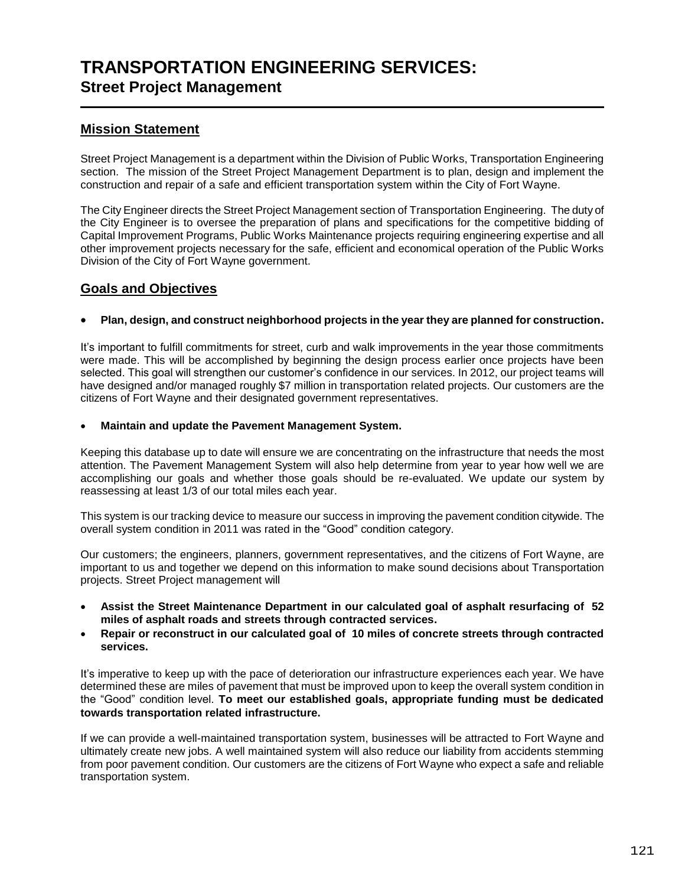# **TRANSPORTATION ENGINEERING SERVICES: Street Project Management**

## **Mission Statement**

Street Project Management is a department within the Division of Public Works, Transportation Engineering section. The mission of the Street Project Management Department is to plan, design and implement the construction and repair of a safe and efficient transportation system within the City of Fort Wayne.

The City Engineer directs the Street Project Management section of Transportation Engineering. The duty of the City Engineer is to oversee the preparation of plans and specifications for the competitive bidding of Capital Improvement Programs, Public Works Maintenance projects requiring engineering expertise and all other improvement projects necessary for the safe, efficient and economical operation of the Public Works Division of the City of Fort Wayne government.

## **Goals and Objectives**

#### **Plan, design, and construct neighborhood projects in the year they are planned for construction.**

It's important to fulfill commitments for street, curb and walk improvements in the year those commitments were made. This will be accomplished by beginning the design process earlier once projects have been selected. This goal will strengthen our customer's confidence in our services. In 2012, our project teams will have designed and/or managed roughly \$7 million in transportation related projects. Our customers are the citizens of Fort Wayne and their designated government representatives.

#### **Maintain and update the Pavement Management System.**

Keeping this database up to date will ensure we are concentrating on the infrastructure that needs the most attention. The Pavement Management System will also help determine from year to year how well we are accomplishing our goals and whether those goals should be re-evaluated. We update our system by reassessing at least 1/3 of our total miles each year.

This system is our tracking device to measure our success in improving the pavement condition citywide. The overall system condition in 2011 was rated in the "Good" condition category.

Our customers; the engineers, planners, government representatives, and the citizens of Fort Wayne, are important to us and together we depend on this information to make sound decisions about Transportation projects. Street Project management will

- **Assist the Street Maintenance Department in our calculated goal of asphalt resurfacing of 52 miles of asphalt roads and streets through contracted services.**
- **Repair or reconstruct in our calculated goal of 10 miles of concrete streets through contracted services.**

It's imperative to keep up with the pace of deterioration our infrastructure experiences each year. We have determined these are miles of pavement that must be improved upon to keep the overall system condition in the "Good" condition level. **To meet our established goals, appropriate funding must be dedicated towards transportation related infrastructure.**

If we can provide a well-maintained transportation system, businesses will be attracted to Fort Wayne and ultimately create new jobs. A well maintained system will also reduce our liability from accidents stemming from poor pavement condition. Our customers are the citizens of Fort Wayne who expect a safe and reliable transportation system.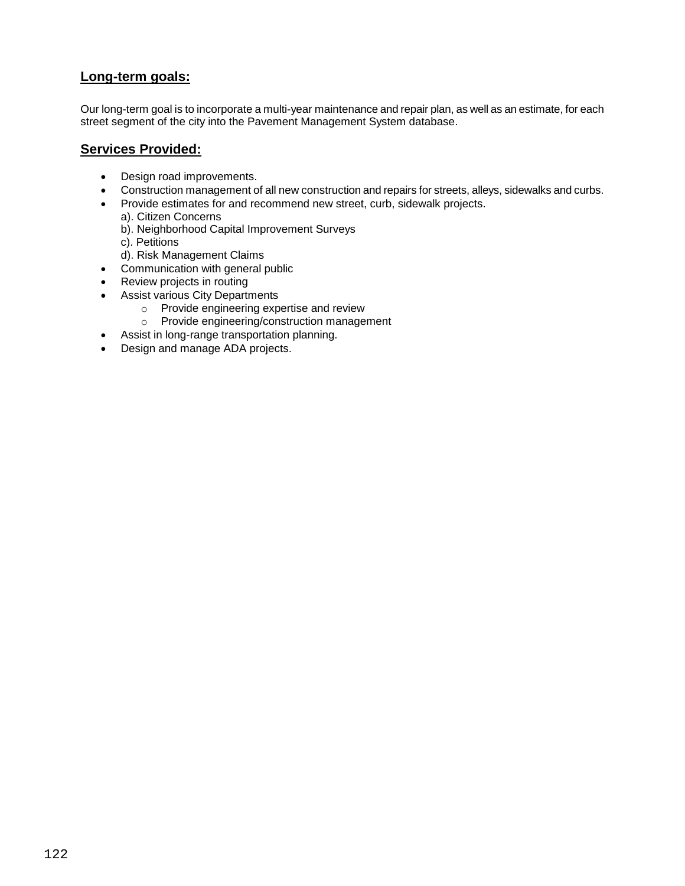## **Long-term goals:**

Our long-term goal is to incorporate a multi-year maintenance and repair plan, as well as an estimate, for each street segment of the city into the Pavement Management System database.

### **Services Provided:**

- Design road improvements.
- Construction management of all new construction and repairs for streets, alleys, sidewalks and curbs.
- Provide estimates for and recommend new street, curb, sidewalk projects.
	- a). Citizen Concerns
		- b). Neighborhood Capital Improvement Surveys
		- c). Petitions
		- d). Risk Management Claims
- Communication with general public
- Review projects in routing
- Assist various City Departments
	- o Provide engineering expertise and review
	- o Provide engineering/construction management
- Assist in long-range transportation planning.
- Design and manage ADA projects.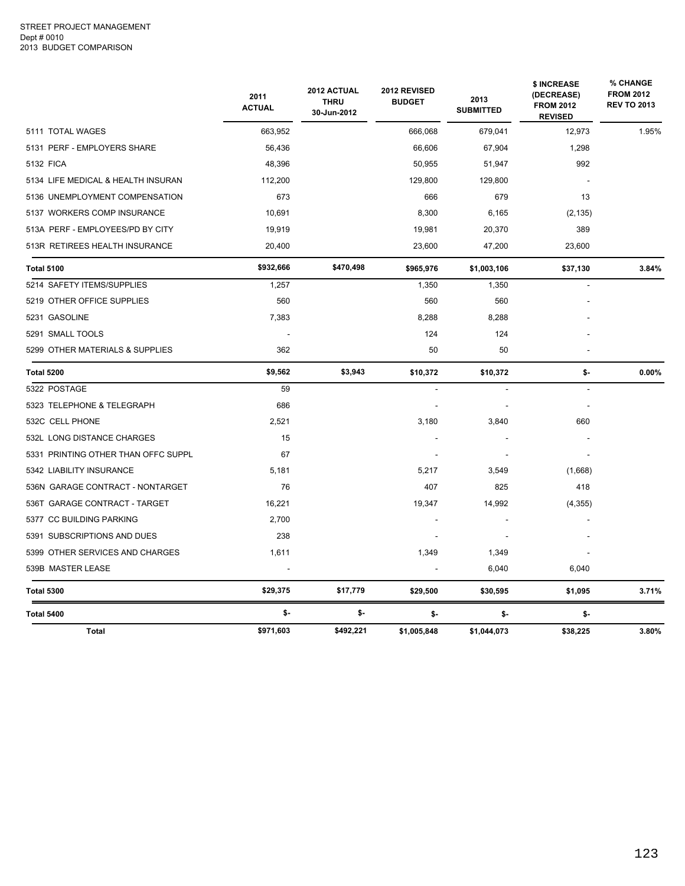|                                     | 2011<br><b>ACTUAL</b> | 2012 ACTUAL<br><b>THRU</b><br>30-Jun-2012 | 2012 REVISED<br><b>BUDGET</b> | 2013<br><b>SUBMITTED</b> | \$ INCREASE<br>(DECREASE)<br><b>FROM 2012</b><br><b>REVISED</b> | % CHANGE<br><b>FROM 2012</b><br><b>REV TO 2013</b> |
|-------------------------------------|-----------------------|-------------------------------------------|-------------------------------|--------------------------|-----------------------------------------------------------------|----------------------------------------------------|
| 5111 TOTAL WAGES                    | 663,952               |                                           | 666,068                       | 679,041                  | 12,973                                                          | 1.95%                                              |
| 5131 PERF - EMPLOYERS SHARE         | 56,436                |                                           | 66,606                        | 67,904                   | 1,298                                                           |                                                    |
| 5132 FICA                           | 48,396                |                                           | 50,955                        | 51,947                   | 992                                                             |                                                    |
| 5134 LIFE MEDICAL & HEALTH INSURAN  | 112,200               |                                           | 129,800                       | 129,800                  |                                                                 |                                                    |
| 5136 UNEMPLOYMENT COMPENSATION      | 673                   |                                           | 666                           | 679                      | 13                                                              |                                                    |
| 5137 WORKERS COMP INSURANCE         | 10,691                |                                           | 8,300                         | 6,165                    | (2, 135)                                                        |                                                    |
| 513A PERF - EMPLOYEES/PD BY CITY    | 19,919                |                                           | 19,981                        | 20,370                   | 389                                                             |                                                    |
| 513R RETIREES HEALTH INSURANCE      | 20,400                |                                           | 23,600                        | 47,200                   | 23,600                                                          |                                                    |
| <b>Total 5100</b>                   | \$932,666             | \$470,498                                 | \$965,976                     | \$1,003,106              | \$37,130                                                        | 3.84%                                              |
| 5214 SAFETY ITEMS/SUPPLIES          | 1,257                 |                                           | 1,350                         | 1,350                    |                                                                 |                                                    |
| 5219 OTHER OFFICE SUPPLIES          | 560                   |                                           | 560                           | 560                      |                                                                 |                                                    |
| 5231 GASOLINE                       | 7,383                 |                                           | 8,288                         | 8,288                    |                                                                 |                                                    |
| 5291 SMALL TOOLS                    |                       |                                           | 124                           | 124                      |                                                                 |                                                    |
| 5299 OTHER MATERIALS & SUPPLIES     | 362                   |                                           | 50                            | 50                       |                                                                 |                                                    |
| Total 5200                          | \$9,562               | \$3,943                                   | \$10,372                      | \$10,372                 | \$-                                                             | 0.00%                                              |
| 5322 POSTAGE                        | 59                    |                                           |                               |                          | $\overline{a}$                                                  |                                                    |
| 5323 TELEPHONE & TELEGRAPH          | 686                   |                                           |                               |                          |                                                                 |                                                    |
| 532C CELL PHONE                     | 2,521                 |                                           | 3,180                         | 3,840                    | 660                                                             |                                                    |
| 532L LONG DISTANCE CHARGES          | 15                    |                                           |                               |                          |                                                                 |                                                    |
| 5331 PRINTING OTHER THAN OFFC SUPPL | 67                    |                                           |                               |                          |                                                                 |                                                    |
| 5342 LIABILITY INSURANCE            | 5,181                 |                                           | 5,217                         | 3,549                    | (1,668)                                                         |                                                    |
| 536N GARAGE CONTRACT - NONTARGET    | 76                    |                                           | 407                           | 825                      | 418                                                             |                                                    |
| 536T GARAGE CONTRACT - TARGET       | 16,221                |                                           | 19,347                        | 14,992                   | (4,355)                                                         |                                                    |
| 5377 CC BUILDING PARKING            | 2,700                 |                                           |                               |                          |                                                                 |                                                    |
| 5391 SUBSCRIPTIONS AND DUES         | 238                   |                                           |                               |                          |                                                                 |                                                    |
| 5399 OTHER SERVICES AND CHARGES     | 1,611                 |                                           | 1,349                         | 1,349                    |                                                                 |                                                    |
| 539B MASTER LEASE                   |                       |                                           |                               | 6,040                    | 6,040                                                           |                                                    |
| <b>Total 5300</b>                   | \$29,375              | \$17,779                                  | \$29,500                      | \$30,595                 | \$1,095                                                         | 3.71%                                              |
| Total 5400                          | \$-                   | \$-                                       | \$-                           | \$-                      | \$-                                                             |                                                    |
| <b>Total</b>                        | \$971,603             | \$492,221                                 | \$1,005,848                   | \$1,044,073              | \$38,225                                                        | 3.80%                                              |